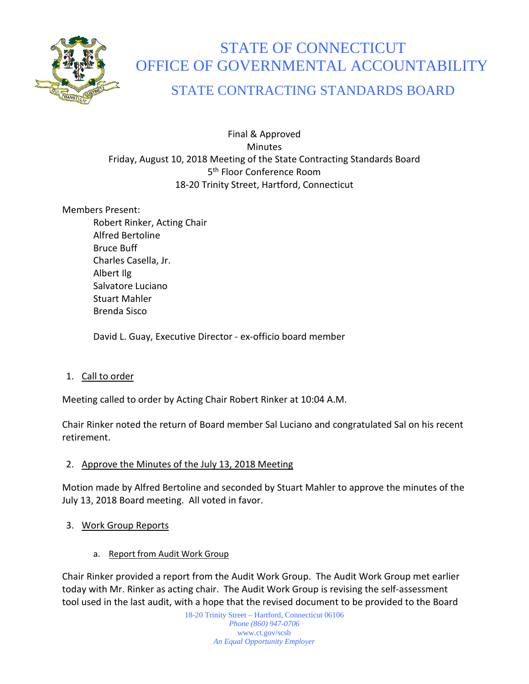

# STATE OF CONNECTICUT OFFICE OF GOVERNMENTAL ACCOUNTABILITY

# STATE CONTRACTING STANDARDS BOARD

Final & Approved **Minutes** Friday, August 10, 2018 Meeting of the State Contracting Standards Board 5<sup>th</sup> Floor Conference Room 18-20 Trinity Street, Hartford, Connecticut

### Members Present:

Robert Rinker, Acting Chair Alfred Bertoline Bruce Buff Charles Casella, Jr. Albert Ilg Salvatore Luciano Stuart Mahler Brenda Sisco

David L. Guay, Executive Director - ex-officio board member

# 1. Call to order

Meeting called to order by Acting Chair Robert Rinker at 10:04 A.M.

Chair Rinker noted the return of Board member Sal Luciano and congratulated Sal on his recent retirement.

# 2. Approve the Minutes of the July 13, 2018 Meeting

Motion made by Alfred Bertoline and seconded by Stuart Mahler to approve the minutes of the July 13, 2018 Board meeting. All voted in favor.

# 3. Work Group Reports

a. Report from Audit Work Group

Chair Rinker provided a report from the Audit Work Group. The Audit Work Group met earlier today with Mr. Rinker as acting chair. The Audit Work Group is revising the self-assessment tool used in the last audit, with a hope that the revised document to be provided to the Board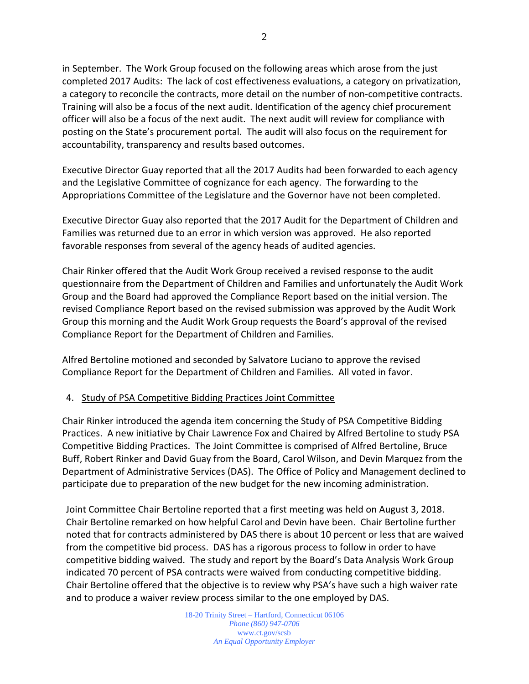in September. The Work Group focused on the following areas which arose from the just completed 2017 Audits: The lack of cost effectiveness evaluations, a category on privatization, a category to reconcile the contracts, more detail on the number of non-competitive contracts. Training will also be a focus of the next audit. Identification of the agency chief procurement officer will also be a focus of the next audit. The next audit will review for compliance with posting on the State's procurement portal. The audit will also focus on the requirement for accountability, transparency and results based outcomes.

Executive Director Guay reported that all the 2017 Audits had been forwarded to each agency and the Legislative Committee of cognizance for each agency. The forwarding to the Appropriations Committee of the Legislature and the Governor have not been completed.

Executive Director Guay also reported that the 2017 Audit for the Department of Children and Families was returned due to an error in which version was approved. He also reported favorable responses from several of the agency heads of audited agencies.

Chair Rinker offered that the Audit Work Group received a revised response to the audit questionnaire from the Department of Children and Families and unfortunately the Audit Work Group and the Board had approved the Compliance Report based on the initial version. The revised Compliance Report based on the revised submission was approved by the Audit Work Group this morning and the Audit Work Group requests the Board's approval of the revised Compliance Report for the Department of Children and Families.

Alfred Bertoline motioned and seconded by Salvatore Luciano to approve the revised Compliance Report for the Department of Children and Families. All voted in favor.

#### 4. Study of PSA Competitive Bidding Practices Joint Committee

Chair Rinker introduced the agenda item concerning the Study of PSA Competitive Bidding Practices. A new initiative by Chair Lawrence Fox and Chaired by Alfred Bertoline to study PSA Competitive Bidding Practices. The Joint Committee is comprised of Alfred Bertoline, Bruce Buff, Robert Rinker and David Guay from the Board, Carol Wilson, and Devin Marquez from the Department of Administrative Services (DAS). The Office of Policy and Management declined to participate due to preparation of the new budget for the new incoming administration.

Joint Committee Chair Bertoline reported that a first meeting was held on August 3, 2018. Chair Bertoline remarked on how helpful Carol and Devin have been. Chair Bertoline further noted that for contracts administered by DAS there is about 10 percent or less that are waived from the competitive bid process. DAS has a rigorous process to follow in order to have competitive bidding waived. The study and report by the Board's Data Analysis Work Group indicated 70 percent of PSA contracts were waived from conducting competitive bidding. Chair Bertoline offered that the objective is to review why PSA's have such a high waiver rate and to produce a waiver review process similar to the one employed by DAS.

> 18-20 Trinity Street – Hartford, Connecticut 06106 *Phone (860) 947-0706*  www.ct.gov/scsb *An Equal Opportunity Employer*